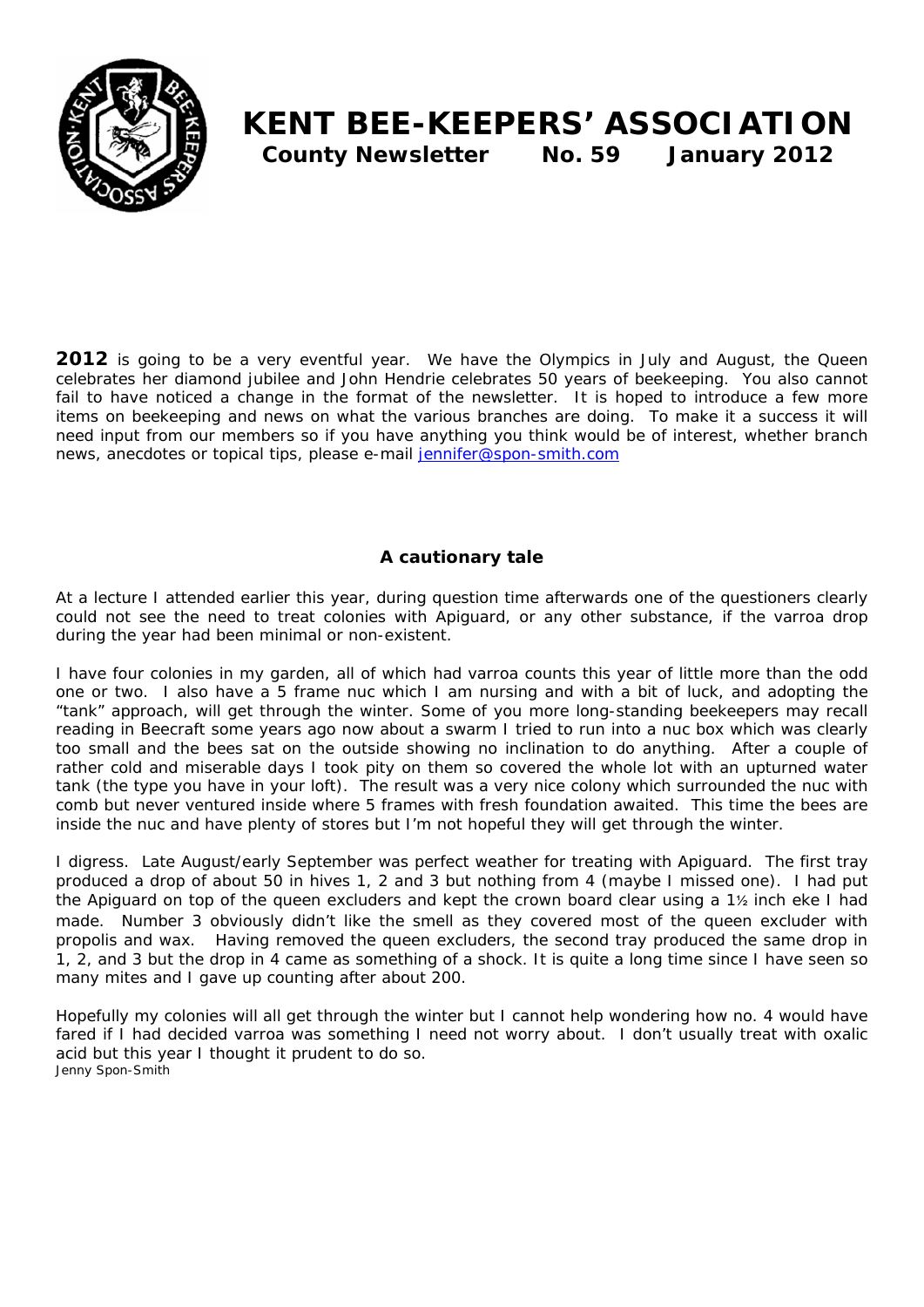

# **KENT BEE-KEEPERS' ASSOCIATION County Newsletter No. 59 January 2012**

**2012** is going to be a very eventful year. We have the Olympics in July and August, the Queen celebrates her diamond jubilee and John Hendrie celebrates 50 years of beekeeping. You also cannot fail to have noticed a change in the format of the newsletter. It is hoped to introduce a few more items on beekeeping and news on what the various branches are doing. To make it a success it will need input from our members so if you have anything you think would be of interest, whether branch news, anecdotes or topical tips, please e-mail jennifer@spon-smith.com

# **A cautionary tale**

At a lecture I attended earlier this year, during question time afterwards one of the questioners clearly could not see the need to treat colonies with Apiguard, or any other substance, if the varroa drop during the year had been minimal or non-existent.

I have four colonies in my garden, all of which had varroa counts this year of little more than the odd one or two. I also have a 5 frame nuc which I am nursing and with a bit of luck, and adopting the "tank" approach, will get through the winter. Some of you more long-standing beekeepers may recall reading in Beecraft some years ago now about a swarm I tried to run into a nuc box which was clearly too small and the bees sat on the outside showing no inclination to do anything. After a couple of rather cold and miserable days I took pity on them so covered the whole lot with an upturned water tank (the type you have in your loft). The result was a very nice colony which surrounded the nuc with comb but never ventured inside where 5 frames with fresh foundation awaited. This time the bees are inside the nuc and have plenty of stores but I'm not hopeful they will get through the winter.

I digress. Late August/early September was perfect weather for treating with Apiguard. The first tray produced a drop of about 50 in hives 1, 2 and 3 but nothing from 4 (maybe I missed one). I had put the Apiguard on top of the queen excluders and kept the crown board clear using a 1½ inch eke I had made. Number 3 obviously didn't like the smell as they covered most of the queen excluder with propolis and wax. Having removed the queen excluders, the second tray produced the same drop in 1, 2, and 3 but the drop in 4 came as something of a shock. It is quite a long time since I have seen so many mites and I gave up counting after about 200.

Hopefully my colonies will all get through the winter but I cannot help wondering how no. 4 would have fared if I had decided varroa was something I need not worry about. I don't usually treat with oxalic acid but this year I thought it prudent to do so. *Jenny Spon-Smith*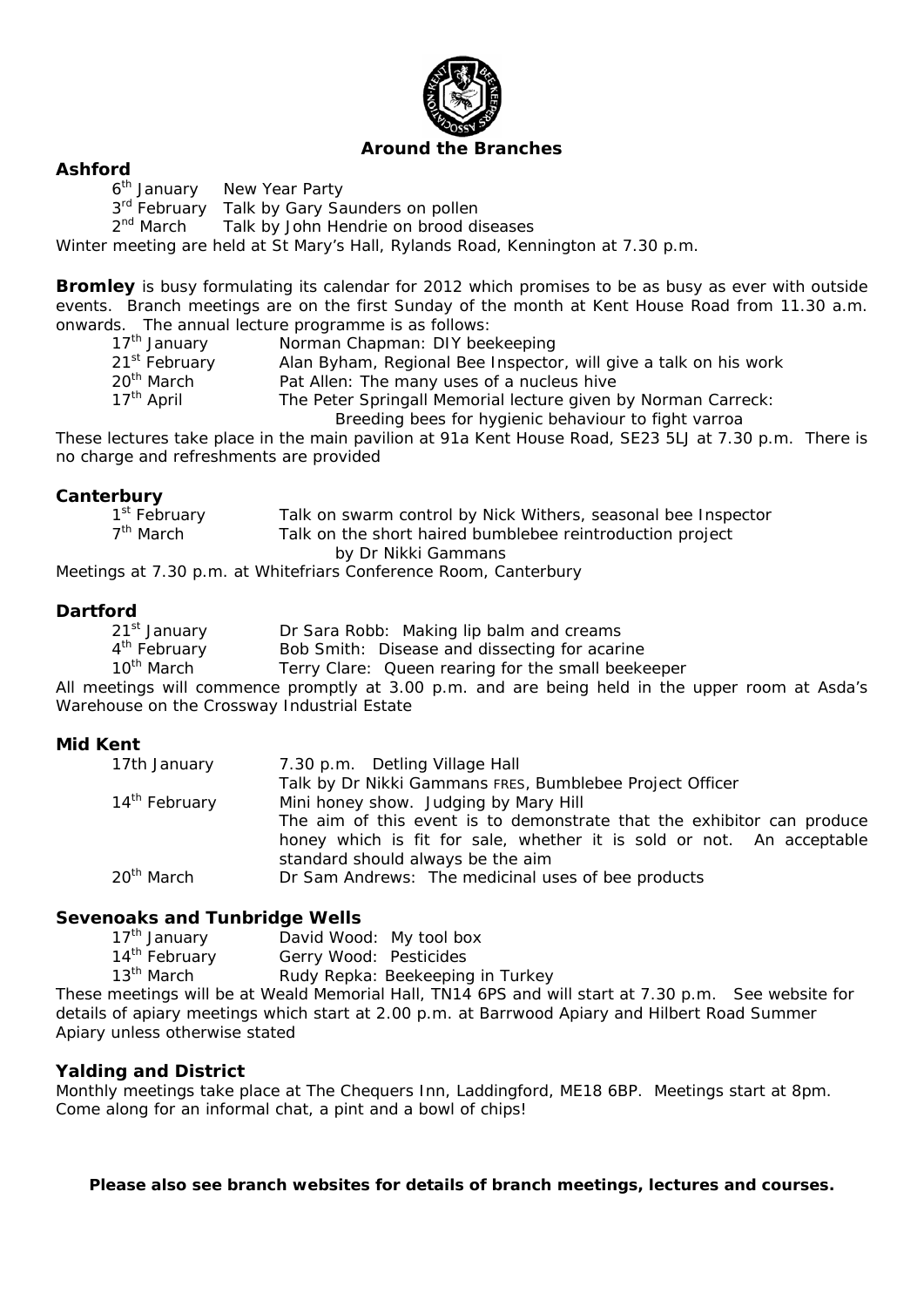

### **Around the Branches**

**Ashford**  New Year Party

3<sup>rd</sup> February Talk by Gary Saunders on pollen

2<sup>nd</sup> March Talk by John Hendrie on brood diseases

Winter meeting are held at St Mary's Hall, Rylands Road, Kennington at 7.30 p.m.

**Bromley** is busy formulating its calendar for 2012 which promises to be as busy as ever with outside events. Branch meetings are on the first Sunday of the month at Kent House Road from 11.30 a.m. onwards. The annual lecture programme is as follows:

| 17 <sup>th</sup> January  | Norman Chapman: DIY beekeeping                                   |
|---------------------------|------------------------------------------------------------------|
| 21 <sup>st</sup> February | Alan Byham, Regional Bee Inspector, will give a talk on his work |
| 20 <sup>th</sup> March    | Pat Allen: The many uses of a nucleus hive                       |
| 17 <sup>th</sup> April    | The Peter Springall Memorial lecture given by Norman Carreck:    |
|                           | Breeding bees for hygienic behaviour to fight varroa             |

These lectures take place in the main pavilion at 91a Kent House Road, SE23 5LJ at 7.30 p.m. There is no charge and refreshments are provided

# **Canterbury**

| 1 <sup>st</sup> February | Talk on swarm control by Nick Withers, seasonal bee Inspector |
|--------------------------|---------------------------------------------------------------|
| $7th$ March              | Talk on the short haired bumblebee reintroduction project     |
|                          | by Dr Nikki Gammans                                           |

Meetings at 7.30 p.m. at Whitefriars Conference Room, Canterbury

# **Dartford**

| 21 <sup>st</sup> January | Dr Sara Robb: Making lip balm and creams                                                        |
|--------------------------|-------------------------------------------------------------------------------------------------|
| 4 <sup>th</sup> February | Bob Smith: Disease and dissecting for acarine                                                   |
| 10 <sup>th</sup> March   | Terry Clare: Queen rearing for the small beekeeper                                              |
|                          | All meetings will commence promptly at 3.00 p.m. and are being held in the upper room at Asda's |

Warehouse on the Crossway Industrial Estate

### **Mid Kent**

| 17th January              | 7.30 p.m. Detling Village Hall                                         |
|---------------------------|------------------------------------------------------------------------|
|                           | Talk by Dr Nikki Gammans FRES, Bumblebee Project Officer               |
| 14 <sup>th</sup> February | Mini honey show. Judging by Mary Hill                                  |
|                           | The aim of this event is to demonstrate that the exhibitor can produce |
|                           | honey which is fit for sale, whether it is sold or not. An acceptable  |
|                           | standard should always be the aim                                      |
| 20 <sup>th</sup> March    | Dr Sam Andrews: The medicinal uses of bee products                     |

### **Sevenoaks and Tunbridge Wells**

|    | 17 <sup>th</sup> January  | David Wood: My tool box                    |
|----|---------------------------|--------------------------------------------|
|    | 14 <sup>th</sup> February | Gerry Wood: Pesticides                     |
|    | 13 <sup>th</sup> March    | Rudy Repka: Beekeeping in Turkey           |
| -- |                           | $1.111 - 1.121 - 1.11$ . The state $1.001$ |

These meetings will be at Weald Memorial Hall, TN14 6PS and will start at 7.30 p.m. See website for details of apiary meetings which start at 2.00 p.m. at Barrwood Apiary and Hilbert Road Summer Apiary unless otherwise stated

### **Yalding and District**

Monthly meetings take place at The Chequers Inn, Laddingford, ME18 6BP. Meetings start at 8pm. Come along for an informal chat, a pint and a bowl of chips!

**Please also see branch websites for details of branch meetings, lectures and courses.**